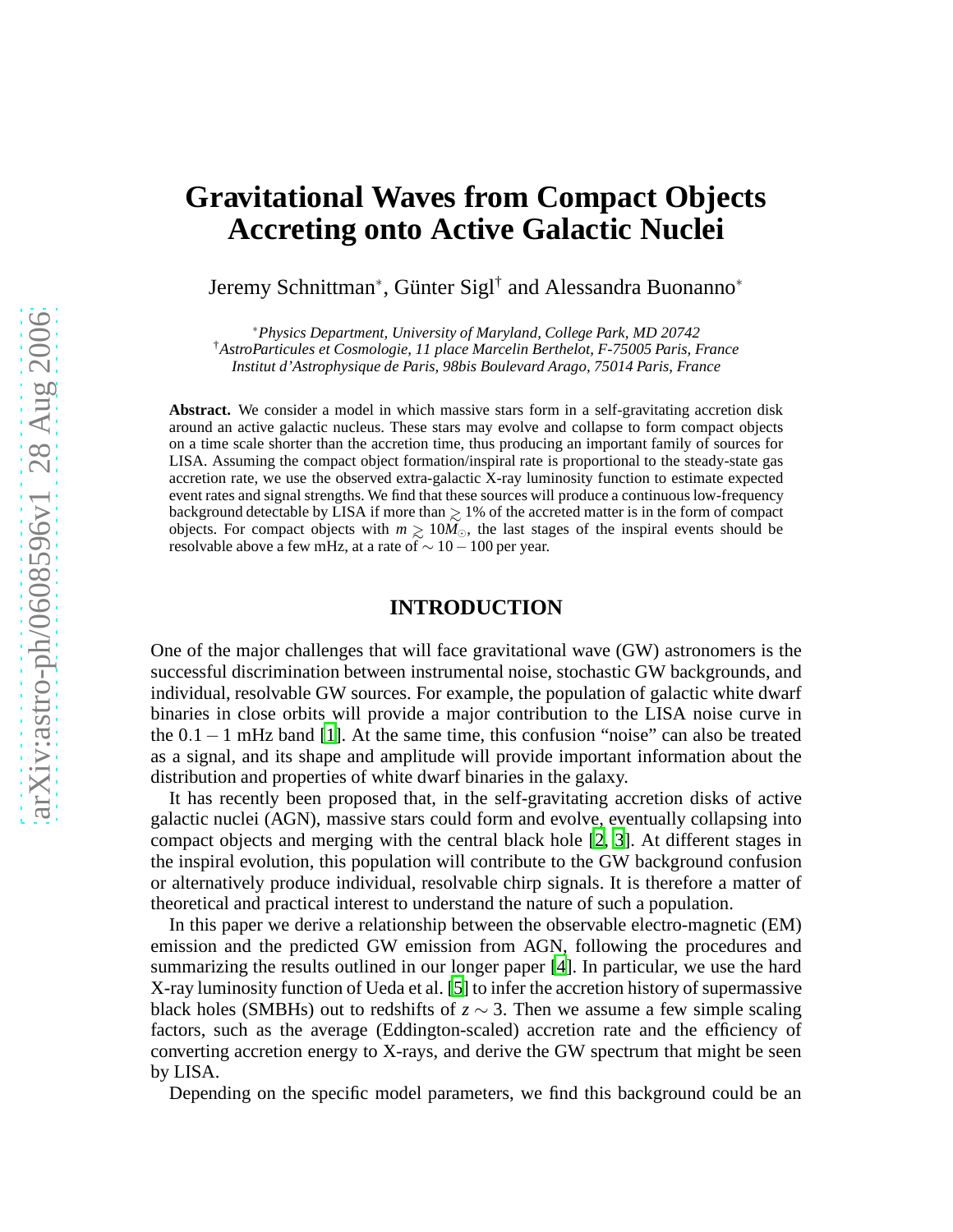# **Gravitational Waves from Compact Objects Accreting onto Active Galactic Nuclei**

Jeremy Schnittman<sup>∗</sup> , Günter Sigl† and Alessandra Buonanno<sup>∗</sup>

∗*Physics Department, University of Maryland, College Park, MD 20742* †*AstroParticules et Cosmologie, 11 place Marcelin Berthelot, F-75005 Paris, France Institut d'Astrophysique de Paris, 98bis Boulevard Arago, 75014 Paris, France*

**Abstract.** We consider a model in which massive stars form in a self-gravitating accretion disk around an active galactic nucleus. These stars may evolve and collapse to form compact objects on a time scale shorter than the accretion time, thus producing an important family of sources for LISA. Assuming the compact object formation/inspiral rate is proportional to the steady-state gas accretion rate, we use the observed extra-galactic X-ray luminosity function to estimate expected event rates and signal strengths. We find that these sources will produce a continuous low-frequency background detectable by LISA if more than  $\geq 1\%$  of the accreted matter is in the form of compact<br>objects. For compact objects with  $m > 10M_0$ , the last stages of the inspiral events should be objects. For compact objects with  $m \ge 10M_{\odot}$ , the last stages of the inspiral events should be resolvable above a few mHz at a rate of  $\sim 10-100$  per year resolvable above a few mHz, at a rate of  $\sim$  10 − 100 per year.

## **INTRODUCTION**

One of the major challenges that will face gravitational wave (GW) astronomers is the successful discrimination between instrumental noise, stochastic GW backgrounds, and individual, resolvable GW sources. For example, the population of galactic white dwarf binaries in close orbits will provide a major contribution to the LISA noise curve in the 0.1−1 mHz band [\[1\]](#page-6-0). At the same time, this confusion "noise" can also be treated as a signal, and its shape and amplitude will provide important information about the distribution and properties of white dwarf binaries in the galaxy.

It has recently been proposed that, in the self-gravitating accretion disks of active galactic nuclei (AGN), massive stars could form and evolve, eventually collapsing into compact objects and merging with the central black hole [\[2](#page-6-1), [3](#page-6-2)]. At different stages in the inspiral evolution, this population will contribute to the GW background confusion or alternatively produce individual, resolvable chirp signals. It is therefore a matter of theoretical and practical interest to understand the nature of such a population.

In this paper we derive a relationship between the observable electro-magnetic (EM) emission and the predicted GW emission from AGN, following the procedures and summarizing the results outlined in our longer paper [\[4\]](#page-6-3). In particular, we use the hard X-ray luminosity function of Ueda et al. [\[5](#page-6-4)] to infer the accretion history of supermassive black holes (SMBHs) out to redshifts of  $z \sim 3$ . Then we assume a few simple scaling factors, such as the average (Eddington-scaled) accretion rate and the efficiency of converting accretion energy to X-rays, and derive the GW spectrum that might be seen by LISA.

Depending on the specific model parameters, we find this background could be an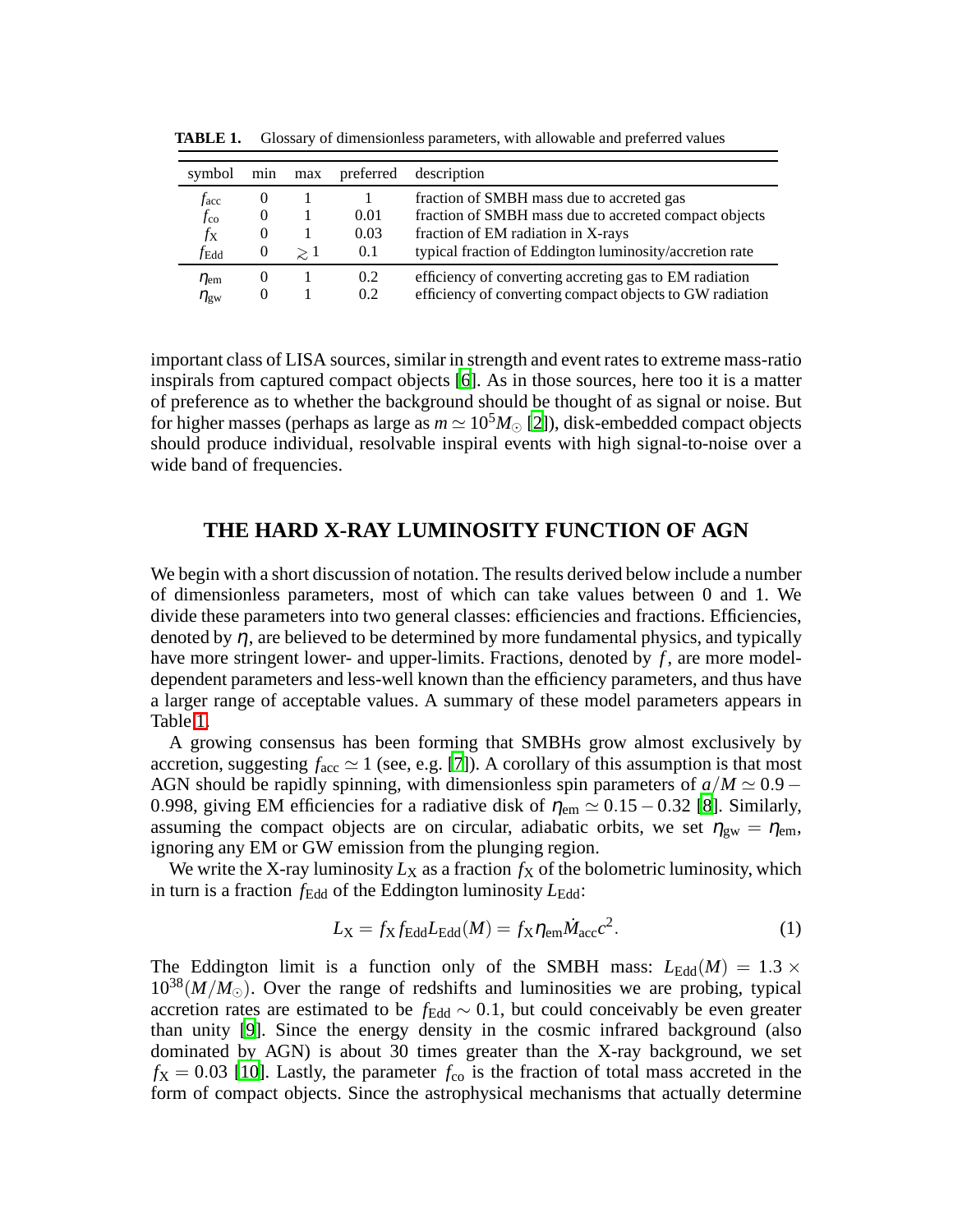| symbol          | min      | max      | preferred | description                                              |
|-----------------|----------|----------|-----------|----------------------------------------------------------|
| $f_{\rm acc}$   | $\theta$ |          |           | fraction of SMBH mass due to accreted gas                |
| $f_{\rm co}$    | $\theta$ |          | 0.01      | fraction of SMBH mass due to accreted compact objects    |
| $f_{\rm X}$     | $\theta$ |          | 0.03      | fraction of EM radiation in X-rays                       |
| $f_{\rm Edd}$   | $\theta$ | $\geq 1$ | 0.1       | typical fraction of Eddington luminosity/accretion rate  |
| $\eta_{\rm em}$ | $\theta$ |          | 0.2       | efficiency of converting accreting gas to EM radiation   |
| $\eta_{\rm gw}$ | $\theta$ |          | 0.2       | efficiency of converting compact objects to GW radiation |

<span id="page-1-0"></span>**TABLE 1.** Glossary of dimensionless parameters, with allowable and preferred values

important class of LISA sources, similar in strength and event rates to extreme mass-ratio inspirals from captured compact objects [\[6](#page-6-5)]. As in those sources, here too it is a matter of preference as to whether the background should be thought of as signal or noise. But for higher masses (perhaps as large as  $m \approx 10^5 M_{\odot}$  [\[2\]](#page-6-1)), disk-embedded compact objects should produce individual, resolvable inspiral events with high signal-to-noise over a wide band of frequencies.

## **THE HARD X-RAY LUMINOSITY FUNCTION OF AGN**

We begin with a short discussion of notation. The results derived below include a number of dimensionless parameters, most of which can take values between 0 and 1. We divide these parameters into two general classes: efficiencies and fractions. Efficiencies, denoted by  $\eta$ , are believed to be determined by more fundamental physics, and typically have more stringent lower- and upper-limits. Fractions, denoted by f, are more modeldependent parameters and less-well known than the efficiency parameters, and thus have a larger range of acceptable values. A summary of these model parameters appears in Table [1.](#page-1-0)

A growing consensus has been forming that SMBHs grow almost exclusively by accretion, suggesting  $f_{\text{acc}} \simeq 1$  (see, e.g. [\[7\]](#page-6-6)). A corollary of this assumption is that most AGN should be rapidly spinning, with dimensionless spin parameters of  $a/M \simeq 0.9 -$ 0.998, giving EM efficiencies for a radiative disk of  $\eta_{\text{em}} \simeq 0.15 - 0.32$  [\[8\]](#page-6-7). Similarly, assuming the compact objects are on circular, adiabatic orbits, we set  $\eta_{gw} = \eta_{em}$ , ignoring any EM or GW emission from the plunging region.

We write the X-ray luminosity  $L_X$  as a fraction  $f_X$  of the bolometric luminosity, which in turn is a fraction  $f_{\text{Edd}}$  of the Eddington luminosity  $L_{\text{Edd}}$ :

<span id="page-1-1"></span>
$$
L_X = f_X f_{\text{Edd}} L_{\text{Edd}}(M) = f_X \eta_{\text{em}} \dot{M}_{\text{acc}} c^2.
$$
 (1)

The Eddington limit is a function only of the SMBH mass:  $L_{\text{Edd}}(M) = 1.3 \times$  $10^{38}(M/M_{\odot})$ . Over the range of redshifts and luminosities we are probing, typical accretion rates are estimated to be  $f_{\text{Edd}} \sim 0.1$ , but could conceivably be even greater than unity [\[9](#page-6-8)]. Since the energy density in the cosmic infrared background (also dominated by AGN) is about 30 times greater than the X-ray background, we set  $f_{\rm X}$  = 0.03 [\[10](#page-6-9)]. Lastly, the parameter  $f_{\rm co}$  is the fraction of total mass accreted in the form of compact objects. Since the astrophysical mechanisms that actually determine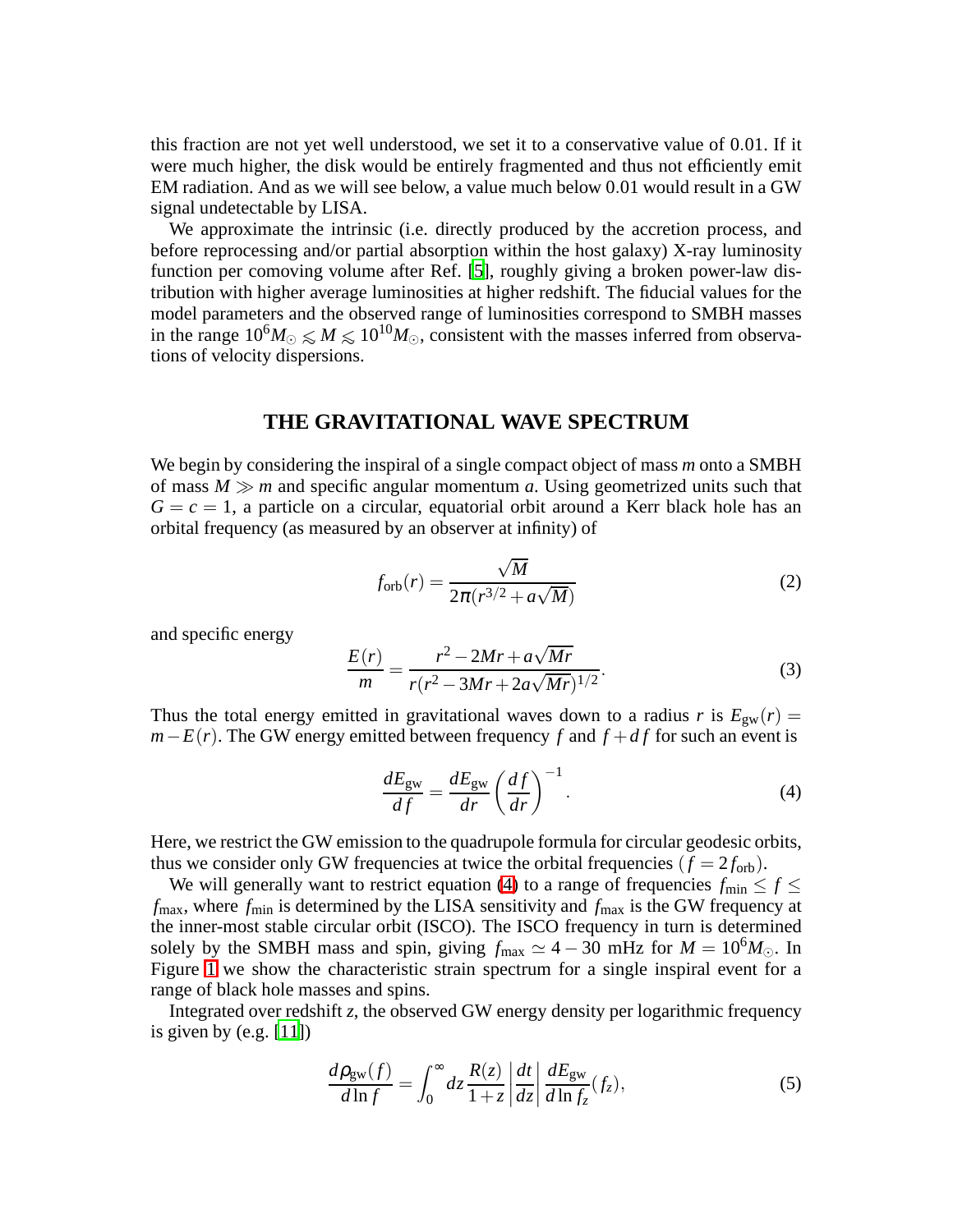this fraction are not yet well understood, we set it to a conservative value of 0.01. If it were much higher, the disk would be entirely fragmented and thus not efficiently emit EM radiation. And as we will see below, a value much below 0.01 would result in a GW signal undetectable by LISA.

We approximate the intrinsic (i.e. directly produced by the accretion process, and before reprocessing and/or partial absorption within the host galaxy) X-ray luminosity function per comoving volume after Ref. [\[5\]](#page-6-4), roughly giving a broken power-law distribution with higher average luminosities at higher redshift. The fiducial values for the model parameters and the observed range of luminosities correspond to SMBH masses in the range  $10^6 M_{\odot} \le M \le 10^{10} M_{\odot}$ , consistent with the masses inferred from observations of velocity dispersions.

#### **THE GRAVITATIONAL WAVE SPECTRUM**

We begin by considering the inspiral of a single compact object of mass *m* onto a SMBH of mass  $M \gg m$  and specific angular momentum *a*. Using geometrized units such that  $G = c = 1$ , a particle on a circular, equatorial orbit around a Kerr black hole has an orbital frequency (as measured by an observer at infinity) of

$$
f_{\rm orb}(r) = \frac{\sqrt{M}}{2\pi (r^{3/2} + a\sqrt{M})}
$$
 (2)

and specific energy

$$
\frac{E(r)}{m} = \frac{r^2 - 2Mr + a\sqrt{Mr}}{r(r^2 - 3Mr + 2a\sqrt{Mr})^{1/2}}.
$$
\n(3)

Thus the total energy emitted in gravitational waves down to a radius *r* is  $E_{gw}(r) =$  $m-E(r)$ . The GW energy emitted between frequency *f* and  $f + df$  for such an event is

<span id="page-2-0"></span>
$$
\frac{dE_{\rm gw}}{df} = \frac{dE_{\rm gw}}{dr} \left(\frac{df}{dr}\right)^{-1}.\tag{4}
$$

Here, we restrict the GW emission to the quadrupole formula for circular geodesic orbits, thus we consider only GW frequencies at twice the orbital frequencies  $(f = 2f_{\text{orb}})$ .

We will generally want to restrict equation [\(4\)](#page-2-0) to a range of frequencies  $f_{\text{min}} \le f \le$ *f*<sub>max</sub>, where *f*<sub>min</sub> is determined by the LISA sensitivity and *f*<sub>max</sub> is the GW frequency at the inner-most stable circular orbit (ISCO). The ISCO frequency in turn is determined solely by the SMBH mass and spin, giving  $f_{\text{max}} \simeq 4 - 30$  mHz for  $M = 10^{6} M_{\odot}$ . In Figure [1](#page-3-0) we show the characteristic strain spectrum for a single inspiral event for a range of black hole masses and spins.

<span id="page-2-1"></span>Integrated over redshift *z*, the observed GW energy density per logarithmic frequency is given by  $(e.g. [11])$  $(e.g. [11])$  $(e.g. [11])$ 

$$
\frac{d\rho_{\rm gw}(f)}{d\ln f} = \int_0^\infty dz \frac{R(z)}{1+z} \left| \frac{dt}{dz} \right| \frac{dE_{\rm gw}}{d\ln f_z}(f_z),\tag{5}
$$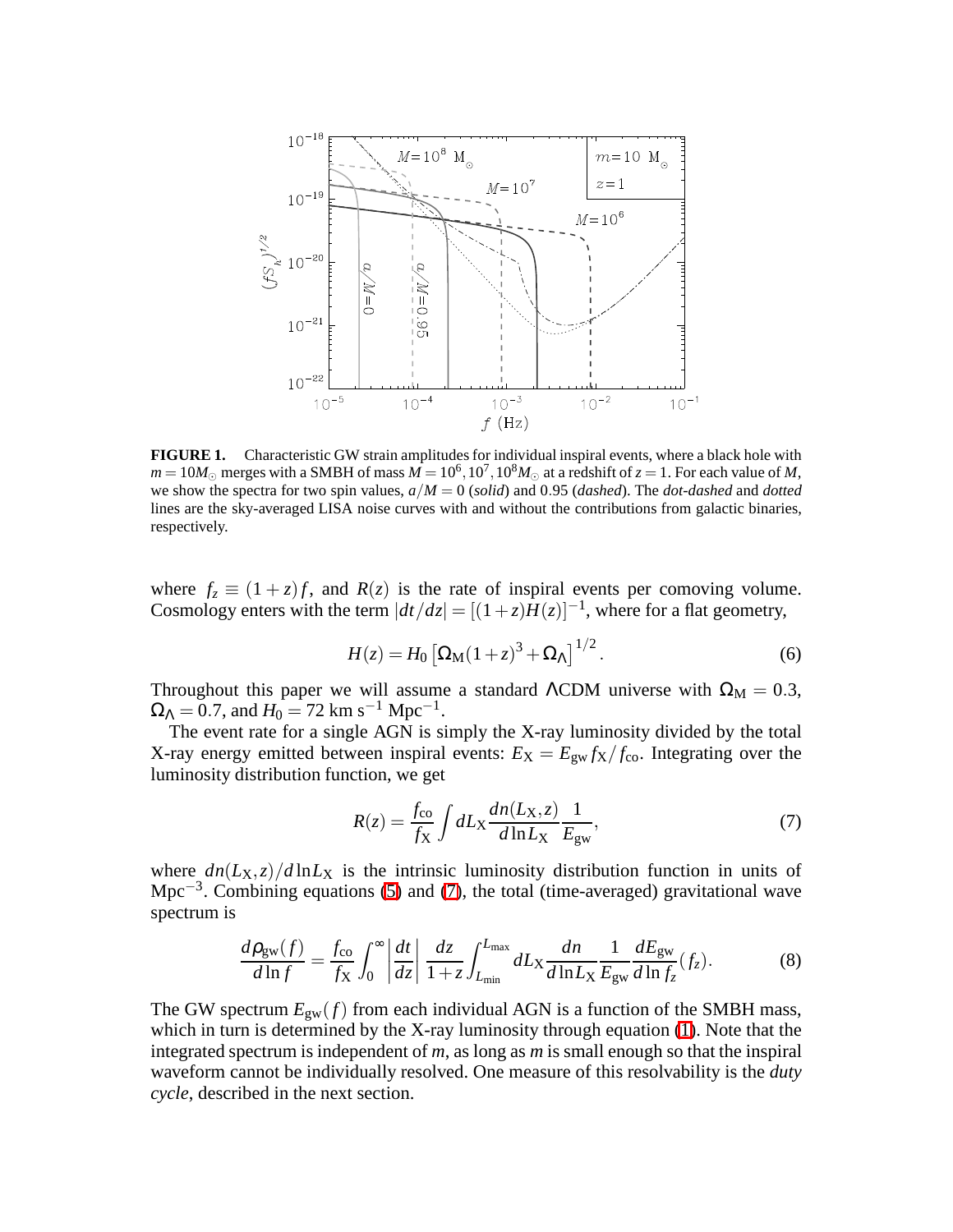

<span id="page-3-0"></span>**FIGURE 1.** Characteristic GW strain amplitudes for individual inspiral events, where a black hole with  $m = 10M_{\odot}$  merges with a SMBH of mass  $M = 10^6, 10^7, 10^8M_{\odot}$  at a redshift of  $z = 1$ . For each value of *M*, we show the spectra for two spin values, *a*/*M* = 0 (*solid*) and 0.95 (*dashed*). The *dot-dashed* and *dotted* lines are the sky-averaged LISA noise curves with and without the contributions from galactic binaries, respectively.

where  $f_z \equiv (1+z)f$ , and  $R(z)$  is the rate of inspiral events per comoving volume. Cosmology enters with the term  $|dt/dz| = [(1+z)\tilde{H}(z)]^{-1}$ , where for a flat geometry,

$$
H(z) = H_0 \left[ \Omega_\mathrm{M} (1+z)^3 + \Omega_\Lambda \right]^{1/2}.
$$
 (6)

Throughout this paper we will assume a standard ΛCDM universe with  $\Omega_M = 0.3$ ,  $\Omega_{\Lambda} = 0.7$ , and  $H_0 = 72$  km s<sup>-1</sup> Mpc<sup>-1</sup>.

The event rate for a single AGN is simply the X-ray luminosity divided by the total X-ray energy emitted between inspiral events:  $E_X = E_{gw} f_X / f_{co}$ . Integrating over the luminosity distribution function, we get

<span id="page-3-1"></span>
$$
R(z) = \frac{f_{\rm co}}{f_{\rm X}} \int dL_{\rm X} \frac{dn(L_{\rm X}, z)}{d \ln L_{\rm X}} \frac{1}{E_{\rm gw}},\tag{7}
$$

<span id="page-3-2"></span>where  $dn(L_X, z)/d\ln L_X$  is the intrinsic luminosity distribution function in units of Mpc<sup>-3</sup>. Combining equations [\(5\)](#page-2-1) and [\(7\)](#page-3-1), the total (time-averaged) gravitational wave spectrum is

$$
\frac{d\rho_{\rm gw}(f)}{d\ln f} = \frac{f_{\rm co}}{f_{\rm X}} \int_0^\infty \left| \frac{dt}{dz} \right| \frac{dz}{1+z} \int_{L_{\rm min}}^{L_{\rm max}} dL_{\rm X} \frac{dn}{d\ln L_{\rm X}} \frac{1}{E_{\rm gw}} \frac{dE_{\rm gw}}{d\ln f_z} (f_z). \tag{8}
$$

The GW spectrum  $E_{gw}(f)$  from each individual AGN is a function of the SMBH mass, which in turn is determined by the X-ray luminosity through equation [\(1\)](#page-1-1). Note that the integrated spectrum is independent of *m*, as long as *m* is small enough so that the inspiral waveform cannot be individually resolved. One measure of this resolvability is the *duty cycle*, described in the next section.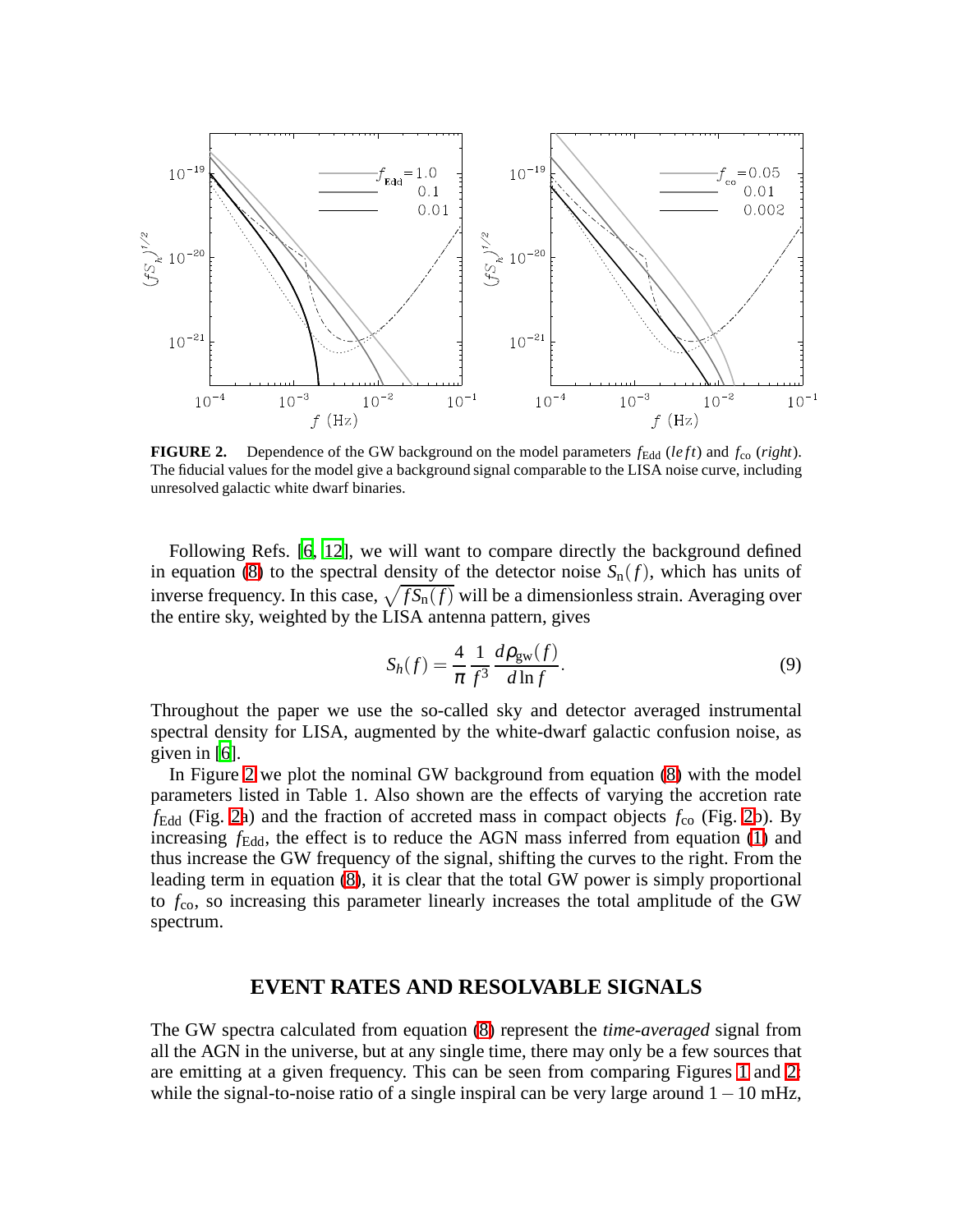

<span id="page-4-0"></span>**FIGURE 2.** Dependence of the GW background on the model parameters  $f_{\text{Edd}}$  (*left*) and  $f_{\text{co}}$  (*right*). The fiducial values for the model give a background signal comparable to the LISA noise curve, including unresolved galactic white dwarf binaries.

Following Refs. [\[6](#page-6-5), [12](#page-6-11)], we will want to compare directly the background defined in equation [\(8\)](#page-3-2) to the spectral density of the detector noise  $S_n(f)$ , which has units of inverse frequency. In this case,  $\sqrt{f S_n(f)}$  will be a dimensionless strain. Averaging over the entire sky, weighted by the LISA antenna pattern, gives

$$
S_h(f) = \frac{4}{\pi} \frac{1}{f^3} \frac{d\rho_{\text{gw}}(f)}{d\ln f}.
$$
 (9)

Throughout the paper we use the so-called sky and detector averaged instrumental spectral density for LISA, augmented by the white-dwarf galactic confusion noise, as given in [\[6](#page-6-5)].

In Figure [2](#page-4-0) we plot the nominal GW background from equation [\(8\)](#page-3-2) with the model parameters listed in Table 1. Also shown are the effects of varying the accretion rate  $f_{\text{Edd}}$  (Fig. [2a](#page-4-0)) and the fraction of accreted mass in compact objects  $f_{\text{co}}$  (Fig. [2b](#page-4-0)). By increasing  $f_{\text{Edd}}$ , the effect is to reduce the AGN mass inferred from equation [\(1\)](#page-1-1) and thus increase the GW frequency of the signal, shifting the curves to the right. From the leading term in equation [\(8\)](#page-3-2), it is clear that the total GW power is simply proportional to *f*co, so increasing this parameter linearly increases the total amplitude of the GW spectrum.

# **EVENT RATES AND RESOLVABLE SIGNALS**

The GW spectra calculated from equation [\(8\)](#page-3-2) represent the *time-averaged* signal from all the AGN in the universe, but at any single time, there may only be a few sources that are emitting at a given frequency. This can be seen from comparing Figures [1](#page-3-0) and [2:](#page-4-0) while the signal-to-noise ratio of a single inspiral can be very large around  $1-10$  mHz,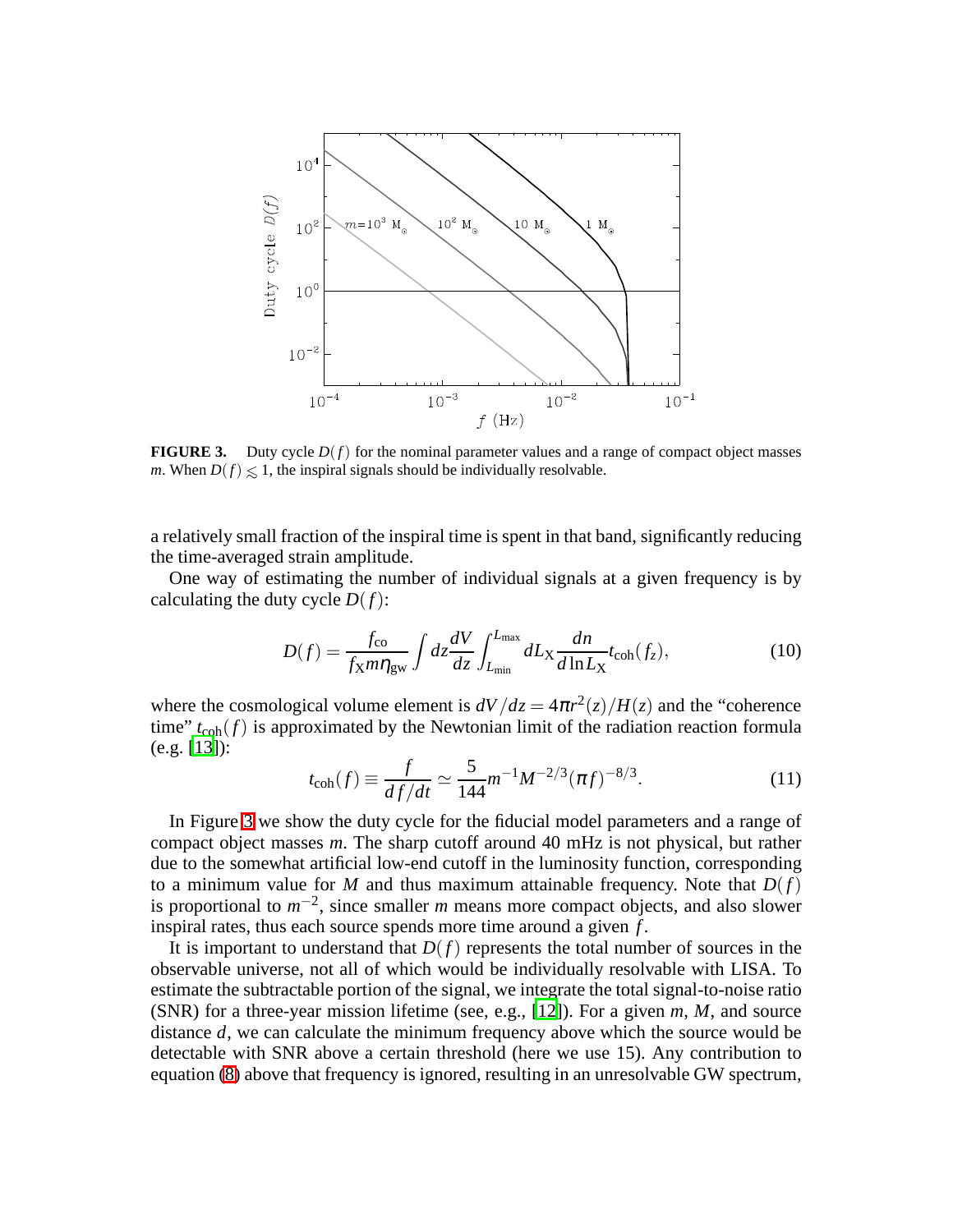

<span id="page-5-0"></span>**FIGURE 3.** Duty cycle  $D(f)$  for the nominal parameter values and a range of compact object masses *m*. When  $D(f) \leq 1$ , the inspiral signals should be individually resolvable.

a relatively small fraction of the inspiral time is spent in that band, significantly reducing the time-averaged strain amplitude.

One way of estimating the number of individual signals at a given frequency is by calculating the duty cycle  $D(f)$ :

$$
D(f) = \frac{f_{\rm co}}{f_{\rm X}m\eta_{\rm gw}} \int dz \frac{dV}{dz} \int_{L_{\rm min}}^{L_{\rm max}} dL_{\rm X} \frac{dn}{d\ln L_{\rm X}} t_{\rm coh}(f_z),\tag{10}
$$

where the cosmological volume element is  $dV/dz = 4\pi r^2(z)/H(z)$  and the "coherence" time"  $t_{\text{coh}}(f)$  is approximated by the Newtonian limit of the radiation reaction formula (e.g. [\[13\]](#page-6-12)):

$$
t_{\rm coh}(f) \equiv \frac{f}{df/dt} \simeq \frac{5}{144} m^{-1} M^{-2/3} (\pi f)^{-8/3}.
$$
 (11)

In Figure [3](#page-5-0) we show the duty cycle for the fiducial model parameters and a range of compact object masses *m*. The sharp cutoff around 40 mHz is not physical, but rather due to the somewhat artificial low-end cutoff in the luminosity function, corresponding to a minimum value for *M* and thus maximum attainable frequency. Note that  $D(f)$ is proportional to  $m^{-2}$ , since smaller *m* means more compact objects, and also slower inspiral rates, thus each source spends more time around a given *f* .

It is important to understand that  $D(f)$  represents the total number of sources in the observable universe, not all of which would be individually resolvable with LISA. To estimate the subtractable portion of the signal, we integrate the total signal-to-noise ratio (SNR) for a three-year mission lifetime (see, e.g., [\[12\]](#page-6-11)). For a given *m*, *M*, and source distance *d*, we can calculate the minimum frequency above which the source would be detectable with SNR above a certain threshold (here we use 15). Any contribution to equation [\(8\)](#page-3-2) above that frequency is ignored, resulting in an unresolvable GW spectrum,